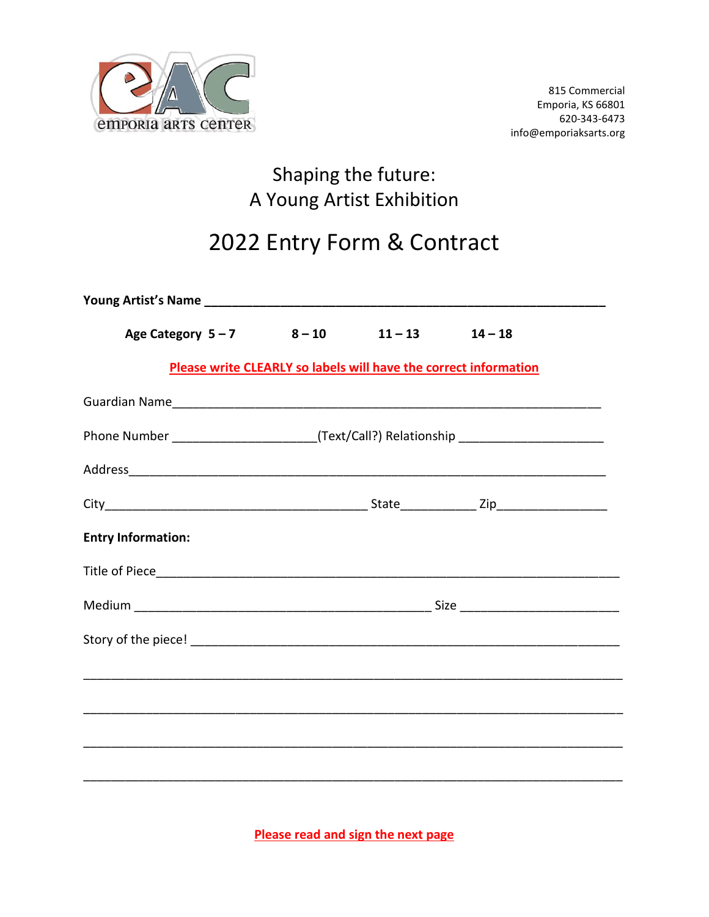

## Shaping the future: A Young Artist Exhibition

# 2022 Entry Form & Contract

| Age Category 5-7 8-10 11-13 14-18                                                                               |                                                                                   |  |                                                                  |  |  |  |
|-----------------------------------------------------------------------------------------------------------------|-----------------------------------------------------------------------------------|--|------------------------------------------------------------------|--|--|--|
|                                                                                                                 |                                                                                   |  | Please write CLEARLY so labels will have the correct information |  |  |  |
|                                                                                                                 |                                                                                   |  |                                                                  |  |  |  |
|                                                                                                                 | Phone Number _______________________(Text/Call?) Relationship ___________________ |  |                                                                  |  |  |  |
| Address and the contract of the contract of the contract of the contract of the contract of the contract of the |                                                                                   |  |                                                                  |  |  |  |
|                                                                                                                 |                                                                                   |  |                                                                  |  |  |  |
| <b>Entry Information:</b>                                                                                       |                                                                                   |  |                                                                  |  |  |  |
|                                                                                                                 |                                                                                   |  |                                                                  |  |  |  |
|                                                                                                                 |                                                                                   |  |                                                                  |  |  |  |
|                                                                                                                 |                                                                                   |  |                                                                  |  |  |  |
|                                                                                                                 |                                                                                   |  |                                                                  |  |  |  |
|                                                                                                                 |                                                                                   |  |                                                                  |  |  |  |
|                                                                                                                 |                                                                                   |  |                                                                  |  |  |  |
|                                                                                                                 |                                                                                   |  |                                                                  |  |  |  |
|                                                                                                                 |                                                                                   |  |                                                                  |  |  |  |

**Please read and sign the next page**